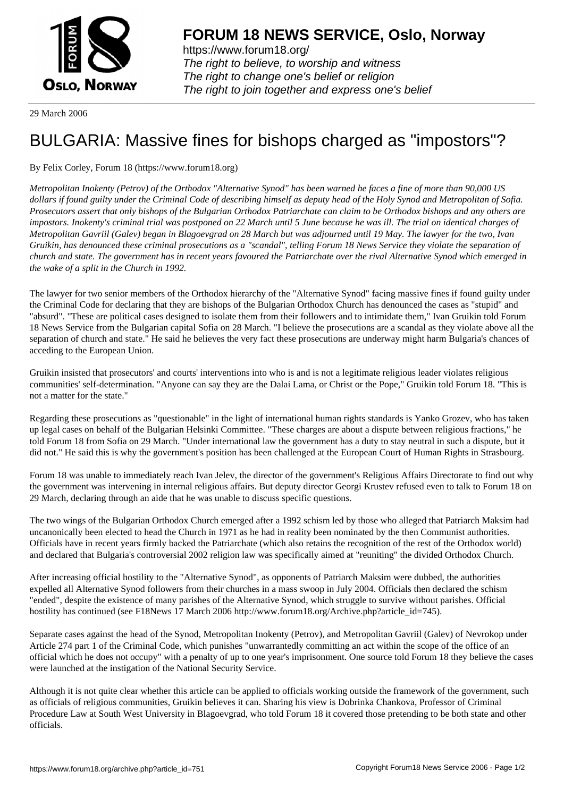

https://www.forum18.org/ The right to believe, to worship and witness The right to change one's belief or religion [The right to join together a](https://www.forum18.org/)nd express one's belief

29 March 2006

## [BULGARIA: Ma](https://www.forum18.org)ssive fines for bishops charged as "impostors"?

By Felix Corley, Forum 18 (https://www.forum18.org)

*Metropolitan Inokenty (Petrov) of the Orthodox "Alternative Synod" has been warned he faces a fine of more than 90,000 US dollars if found guilty under the Criminal Code of describing himself as deputy head of the Holy Synod and Metropolitan of Sofia. Prosecutors assert that only bishops of the Bulgarian Orthodox Patriarchate can claim to be Orthodox bishops and any others are impostors. Inokenty's criminal trial was postponed on 22 March until 5 June because he was ill. The trial on identical charges of Metropolitan Gavriil (Galev) began in Blagoevgrad on 28 March but was adjourned until 19 May. The lawyer for the two, Ivan Gruikin, has denounced these criminal prosecutions as a "scandal", telling Forum 18 News Service they violate the separation of church and state. The government has in recent years favoured the Patriarchate over the rival Alternative Synod which emerged in the wake of a split in the Church in 1992.*

The lawyer for two senior members of the Orthodox hierarchy of the "Alternative Synod" facing massive fines if found guilty under the Criminal Code for declaring that they are bishops of the Bulgarian Orthodox Church has denounced the cases as "stupid" and "absurd". "These are political cases designed to isolate them from their followers and to intimidate them," Ivan Gruikin told Forum 18 News Service from the Bulgarian capital Sofia on 28 March. "I believe the prosecutions are a scandal as they violate above all the separation of church and state." He said he believes the very fact these prosecutions are underway might harm Bulgaria's chances of acceding to the European Union.

Gruikin insisted that prosecutors' and courts' interventions into who is and is not a legitimate religious leader violates religious communities' self-determination. "Anyone can say they are the Dalai Lama, or Christ or the Pope," Gruikin told Forum 18. "This is not a matter for the state."

Regarding these prosecutions as "questionable" in the light of international human rights standards is Yanko Grozev, who has taken up legal cases on behalf of the Bulgarian Helsinki Committee. "These charges are about a dispute between religious fractions," he told Forum 18 from Sofia on 29 March. "Under international law the government has a duty to stay neutral in such a dispute, but it did not." He said this is why the government's position has been challenged at the European Court of Human Rights in Strasbourg.

Forum 18 was unable to immediately reach Ivan Jelev, the director of the government's Religious Affairs Directorate to find out why the government was intervening in internal religious affairs. But deputy director Georgi Krustev refused even to talk to Forum 18 on 29 March, declaring through an aide that he was unable to discuss specific questions.

The two wings of the Bulgarian Orthodox Church emerged after a 1992 schism led by those who alleged that Patriarch Maksim had uncanonically been elected to head the Church in 1971 as he had in reality been nominated by the then Communist authorities. Officials have in recent years firmly backed the Patriarchate (which also retains the recognition of the rest of the Orthodox world) and declared that Bulgaria's controversial 2002 religion law was specifically aimed at "reuniting" the divided Orthodox Church.

After increasing official hostility to the "Alternative Synod", as opponents of Patriarch Maksim were dubbed, the authorities expelled all Alternative Synod followers from their churches in a mass swoop in July 2004. Officials then declared the schism "ended", despite the existence of many parishes of the Alternative Synod, which struggle to survive without parishes. Official hostility has continued (see F18News 17 March 2006 http://www.forum18.org/Archive.php?article\_id=745).

Separate cases against the head of the Synod, Metropolitan Inokenty (Petrov), and Metropolitan Gavriil (Galev) of Nevrokop under Article 274 part 1 of the Criminal Code, which punishes "unwarrantedly committing an act within the scope of the office of an official which he does not occupy" with a penalty of up to one year's imprisonment. One source told Forum 18 they believe the cases were launched at the instigation of the National Security Service.

Although it is not quite clear whether this article can be applied to officials working outside the framework of the government, such as officials of religious communities, Gruikin believes it can. Sharing his view is Dobrinka Chankova, Professor of Criminal Procedure Law at South West University in Blagoevgrad, who told Forum 18 it covered those pretending to be both state and other officials.